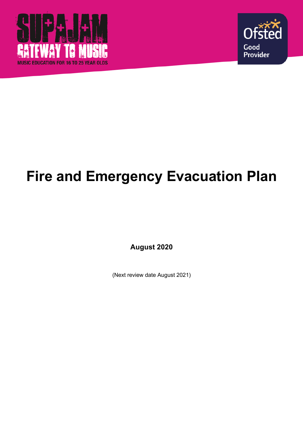



## **Fire and Emergency Evacuation Plan**

**August 2020**

(Next review date August 2021)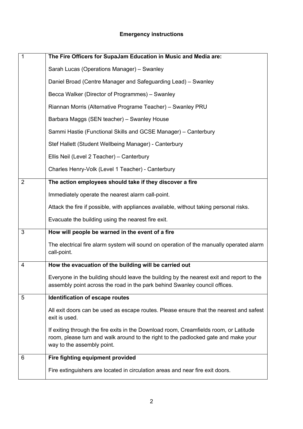## **Emergency instructions**

| $\mathbf{1}$   | The Fire Officers for SupaJam Education in Music and Media are:                                                                                                                                           |
|----------------|-----------------------------------------------------------------------------------------------------------------------------------------------------------------------------------------------------------|
|                | Sarah Lucas (Operations Manager) - Swanley                                                                                                                                                                |
|                | Daniel Broad (Centre Manager and Safeguarding Lead) – Swanley                                                                                                                                             |
|                | Becca Walker (Director of Programmes) – Swanley                                                                                                                                                           |
|                | Riannan Morris (Alternative Programe Teacher) - Swanley PRU                                                                                                                                               |
|                | Barbara Maggs (SEN teacher) - Swanley House                                                                                                                                                               |
|                | Sammi Hastie (Functional Skills and GCSE Manager) - Canterbury                                                                                                                                            |
|                | Stef Hallett (Student Wellbeing Manager) - Canterbury                                                                                                                                                     |
|                | Ellis Neil (Level 2 Teacher) - Canterbury                                                                                                                                                                 |
|                | Charles Henry-Volk (Level 1 Teacher) - Canterbury                                                                                                                                                         |
| $\overline{2}$ | The action employees should take if they discover a fire                                                                                                                                                  |
|                | Immediately operate the nearest alarm call-point.                                                                                                                                                         |
|                | Attack the fire if possible, with appliances available, without taking personal risks.                                                                                                                    |
|                | Evacuate the building using the nearest fire exit.                                                                                                                                                        |
| 3              | How will people be warned in the event of a fire                                                                                                                                                          |
|                | The electrical fire alarm system will sound on operation of the manually operated alarm<br>call-point.                                                                                                    |
| 4              | How the evacuation of the building will be carried out                                                                                                                                                    |
|                | Everyone in the building should leave the building by the nearest exit and report to the<br>assembly point across the road in the park behind Swanley council offices.                                    |
| 5              | Identification of escape routes                                                                                                                                                                           |
|                | All exit doors can be used as escape routes. Please ensure that the nearest and safest<br>exit is used.                                                                                                   |
|                | If exiting through the fire exits in the Download room, Creamfields room, or Latitude<br>room, please turn and walk around to the right to the padlocked gate and make your<br>way to the assembly point. |
| 6              | Fire fighting equipment provided                                                                                                                                                                          |
|                | Fire extinguishers are located in circulation areas and near fire exit doors.                                                                                                                             |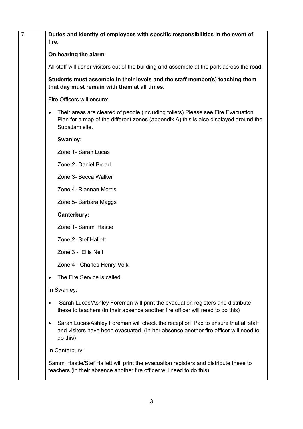| $\overline{7}$ | Duties and identity of employees with specific responsibilities in the event of<br>fire.                                                                                                               |
|----------------|--------------------------------------------------------------------------------------------------------------------------------------------------------------------------------------------------------|
|                | On hearing the alarm:                                                                                                                                                                                  |
|                | All staff will usher visitors out of the building and assemble at the park across the road.                                                                                                            |
|                | Students must assemble in their levels and the staff member(s) teaching them<br>that day must remain with them at all times.                                                                           |
|                | Fire Officers will ensure:                                                                                                                                                                             |
|                | Their areas are cleared of people (including toilets) Please see Fire Evacuation<br>$\bullet$<br>Plan for a map of the different zones (appendix A) this is also displayed around the<br>SupaJam site. |
|                | Swanley:                                                                                                                                                                                               |
|                | Zone 1- Sarah Lucas                                                                                                                                                                                    |
|                | Zone 2- Daniel Broad                                                                                                                                                                                   |
|                | Zone 3- Becca Walker                                                                                                                                                                                   |
|                | Zone 4- Riannan Morris                                                                                                                                                                                 |
|                | Zone 5- Barbara Maggs                                                                                                                                                                                  |
|                | Canterbury:                                                                                                                                                                                            |
|                | Zone 1- Sammi Hastie                                                                                                                                                                                   |
|                | Zone 2- Stef Hallett                                                                                                                                                                                   |
|                | Zone 3 - Ellis Neil                                                                                                                                                                                    |
|                | Zone 4 - Charles Henry-Volk                                                                                                                                                                            |
|                | The Fire Service is called.                                                                                                                                                                            |
|                | In Swanley:                                                                                                                                                                                            |
|                | Sarah Lucas/Ashley Foreman will print the evacuation registers and distribute<br>$\bullet$<br>these to teachers (in their absence another fire officer will need to do this)                           |
|                | Sarah Lucas/Ashley Foreman will check the reception iPad to ensure that all staff<br>٠<br>and visitors have been evacuated. (In her absence another fire officer will need to<br>do this)              |
|                | In Canterbury:                                                                                                                                                                                         |
|                | Sammi Hastie/Stef Hallett will print the evacuation registers and distribute these to<br>teachers (in their absence another fire officer will need to do this)                                         |